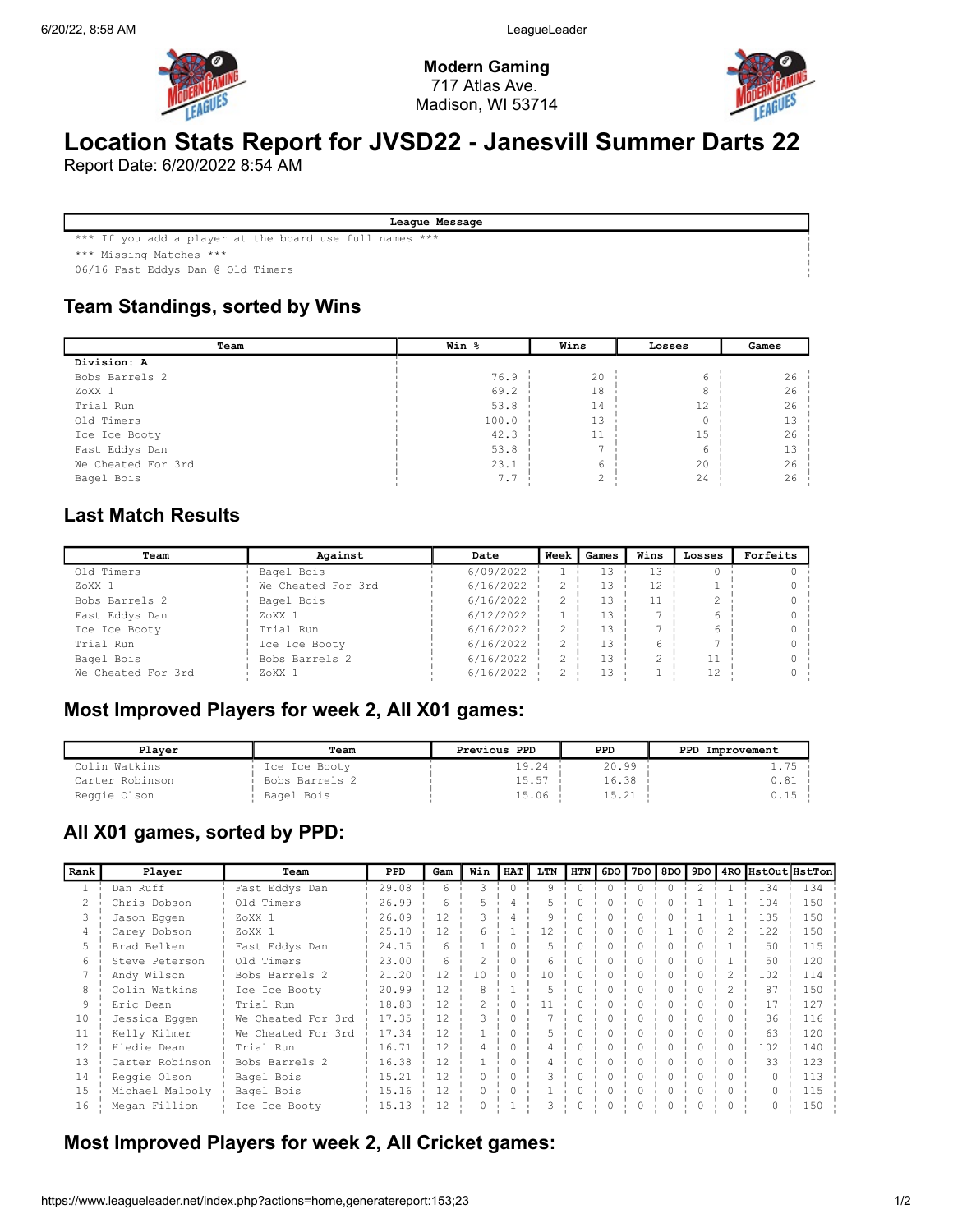

Modern Gaming 717 Atlas Ave. Madison, WI 53714



# Location Stats Report for JVSD22 - Janesvill Summer Darts 22

Report Date: 6/20/2022 8:54 AM

League Message

\*\*\* If you add a player at the board use full names \*\*\*

\*\*\* Missing Matches \*\*\*

06/16 Fast Eddys Dan @ Old Timers

#### Team Standings, sorted by Wins

| Team               | Win % | Wins | Losses      | Games |
|--------------------|-------|------|-------------|-------|
| Division: A        |       |      |             |       |
| Bobs Barrels 2     | 76.9  | 20   | 6           | 26    |
| ZoXX 1             | 69.2  | 18   | 8           | 26    |
| Trial Run          | 53.8  | 14   | 12          | 26    |
| Old Timers         | 100.0 | 13   | $\mathbf 0$ | 13    |
| Ice Ice Booty      | 42.3  | 11   | 15          | 26    |
| Fast Eddys Dan     | 53.8  |      | 6           | 13    |
| We Cheated For 3rd | 23.1  | 6    | 20          | 26    |
| Bagel Bois         | 7.7   | ↷    | 24          | 26    |

#### Last Match Results

| Team               | Against            |           | <b>Week</b> | Games | Wins | Losses | Forfeits |
|--------------------|--------------------|-----------|-------------|-------|------|--------|----------|
| Old Timers         | Bagel Bois         | 6/09/2022 |             | 13    | 13   |        |          |
| ZoXX <sub>1</sub>  | We Cheated For 3rd | 6/16/2022 |             | 13    | 12   |        |          |
| Bobs Barrels 2     | Bagel Bois         | 6/16/2022 |             | 13    | 11   |        |          |
| Fast Eddys Dan     | ZoXX 1             | 6/12/2022 |             | 13    |      |        |          |
| Ice Ice Booty      | Trial Run          | 6/16/2022 |             | 13    |      |        |          |
| Trial Run          | Ice Ice Booty      | 6/16/2022 |             | 13    |      |        |          |
| Bagel Bois         | Bobs Barrels 2     | 6/16/2022 |             | 13    |      |        |          |
| We Cheated For 3rd | ZoXX 1             | 6/16/2022 |             | 13    |      | 12     |          |

#### Most Improved Players for week 2, All X01 games:

| Plaver          | Team           | Previous PPD | PPD   | PPD<br>Improvement |
|-----------------|----------------|--------------|-------|--------------------|
| Colin Watkins   | Ice Ice Booty  | 19.24        | 20.99 | $1.75 -$           |
| Carter Robinson | Bobs Barrels 2 | 15.57        | 16.38 | 0.81 i             |
| Reggie Olson    | Bagel Bois     | 15.06        | 15.21 |                    |

#### All X01 games, sorted by PPD:

| Rank | Player          | Team               | PPD   | Gam | Win      | <b>HAT</b> | LTN | HTN      | 6DO | 7DO I    | 8DO I     | 9DO           |   | 4RO HstOut HstTon |     |
|------|-----------------|--------------------|-------|-----|----------|------------|-----|----------|-----|----------|-----------|---------------|---|-------------------|-----|
|      | Dan Ruff        | Fast Eddys Dan     | 29.08 | 6   | 3        |            | 9   | $\Omega$ | 0   | $\Omega$ | $\bigcap$ | $\mathcal{L}$ |   | 134               | 134 |
|      | Chris Dobson    | Old Timers         | 26.99 | 6   |          | 4          | 5.  | 0        | 0   |          | 0         |               |   | 104               | 150 |
|      | Jason Eggen     | ZoXX <sub>1</sub>  | 26.09 | 12  |          |            |     |          |     |          |           |               |   | 135               | 150 |
|      | Carey Dobson    | ZoXX 1             | 25.10 | 12  | 6        |            | 12  |          |     |          |           |               |   | 122               | 150 |
|      | Brad Belken     | Fast Eddys Dan     | 24.15 | 6   |          |            |     |          |     |          | ∩         |               |   | 50                | 115 |
| 6    | Steve Peterson  | Old Timers         | 23.00 | 6   |          |            | h   |          |     |          |           |               |   | 50                | 120 |
|      | Andy Wilson     | Bobs Barrels 2     | 21.20 | 12  | 10       |            | 10  |          |     |          |           |               |   | 102               | 114 |
| 8    | Colin Watkins   | Ice Ice Booty      | 20.99 | 12  | 8        |            | 5   |          | Ω   |          |           |               |   | 87                | 150 |
| 9    | Eric Dean       | Trial Run          | 18.83 | 12  |          | ∩          |     |          |     |          |           |               |   | 17                | 127 |
| 10   | Jessica Eqqen   | We Cheated For 3rd | 17.35 | 12  |          |            |     |          |     |          |           |               |   | 36                | 116 |
| 11   | Kelly Kilmer    | We Cheated For 3rd | 17.34 | 12  |          |            |     |          |     |          |           |               |   | 63                | 120 |
| 12   | Hiedie Dean     | Trial Run          | 16.71 | 12  |          |            |     |          |     |          |           |               |   | 102               | 140 |
| 13   | Carter Robinson | Bobs Barrels 2     | 16.38 | 12  |          |            |     |          |     |          |           |               |   | 33                | 123 |
| 14   | Reggie Olson    | Bagel Bois         | 15.21 | 12  | $\Omega$ |            |     |          |     |          |           |               |   |                   | 113 |
| 15   | Michael Malooly | Bagel Bois         | 15.16 | 12  | $\Omega$ | ∩          |     |          | ∩   |          | ∩         |               | ∩ |                   | 115 |
| 16   | Megan Fillion   | Ice Ice Booty      | 15.13 | 12  |          |            |     |          |     |          |           |               |   |                   | 150 |

#### Most Improved Players for week 2, All Cricket games: